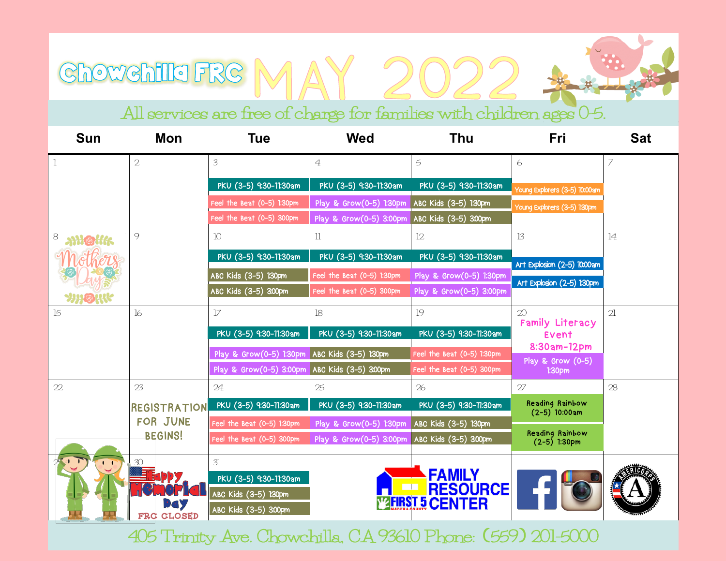## All services are free of charge for families with children ages 0-5.

Chowchille FRG MAY 2022

| <b>Sun</b>   | Mon                                    | <b>Tue</b>                                                                    | Wed                        | <b>Thu</b>                                  | Fri                                | <b>Sat</b>     |  |
|--------------|----------------------------------------|-------------------------------------------------------------------------------|----------------------------|---------------------------------------------|------------------------------------|----------------|--|
|              | $\overline{2}$                         | 3                                                                             | $\overline{4}$             | 5                                           | 6                                  | 7              |  |
|              |                                        | PKU (3-5) 9:30-71:30am                                                        | PKU (3-5) 9:30-77:30am     | PKU (3-5) 9:30-77:30am                      | Young Explorers (3-5) 10:00am      |                |  |
|              |                                        | Feel the Beat (0-5) 1:30pm                                                    | Play & Grow(0-5) 1:30pm    | ABC Kids (3-5) 1:30pm                       | Young Explorers (3-5) 130pm        |                |  |
|              |                                        | Feel the Beat (0-5) 300pm                                                     | Play & Grow(0-5) 3:00pm    | ABC Kids (3-5) 3:00pm                       |                                    |                |  |
| 8            | $\circ$                                | 10 <sup>1</sup>                                                               | $\mathbf l$                | 12                                          | $\mathbf{1}3$                      | 14             |  |
|              |                                        | PKU (3-5) 9:30-11:30am                                                        | PKU (3-5) 9:30-11:30am     | PKU (3-5) 9:30-11:30am                      | Art Explosion (2-5) 10:00am        |                |  |
|              |                                        | ABC Kids (3-5) 130pm                                                          | Feel the Beat (0-5) 1:30pm | Play & Grow(0-5) 1:30pm                     | Art Explosion (2-5) 130pm          |                |  |
| <b>YHOHK</b> |                                        | ABC Kids (3-5) 300pm                                                          | Feel the Beat (0-5) 300pm  | Play & Grow(0-5) 3:00pm                     |                                    |                |  |
| 15           | 16                                     | $1\!7$                                                                        | 18                         | 19                                          | 20<br>Family Literacy              | $\overline{2}$ |  |
|              |                                        | PKU (3-5) 9:30-11:30am                                                        | PKU (3-5) 9:30-11:30am     | PKU (3-5) 9:30-71:30am                      | Event                              |                |  |
|              |                                        | Play & Grow(0-5) 1:30pm                                                       | ABC Kids (3-5) 130pm       | Feel the Beat (0-5) 1:30pm                  | 8:30am-12pm<br>Play & Grow $(0-5)$ |                |  |
|              |                                        | Play & Grow(0-5) 3:00pm                                                       | ABC Kids (3-5) 3:00pm      | Feel the Beat (0-5) 300pm                   | 1:30 <sub>pm</sub>                 |                |  |
| 22           | 23                                     | 24                                                                            | 25                         | 26                                          | 27                                 | 28             |  |
|              | REGISTRATION                           | PKU (3-5) 9:30-11:30am                                                        | PKU (3-5) 9:30-11:30am     | PKU (3-5) 9:30-77:30am                      | Reading Rainbow<br>$(2-5)$ 10:00am |                |  |
|              | <b>FOR JUNE</b>                        | Feel the Beat (0-5) 1:30pm                                                    | Play & Grow(0-5) 1:30pm    | ABC Kids (3-5) 130pm                        | Reading Rainbow                    |                |  |
|              | <b>BEGINS!</b>                         | Feel the Beat (0-5) 300pm                                                     | Play & Grow(0-5) 3:00pm    | ABC Kids (3-5) 3:00pm                       | $(2-5)$ 1:30pm                     |                |  |
|              | 30<br><b>EODY</b><br>DGY<br>FRC CLOSED | 31<br>PKU (3-5) 9:30-11:30am<br>ABC Kids (3-5) 130pm<br>ABC Kids (3-5) 3:00pm | $\Box$                     | FAMILY<br>RESOURCE<br><b>WHRST 5 CENTER</b> |                                    |                |  |

405 Trinity Ave. Chowchilla, CA 93610 Phone: 559 201-5000